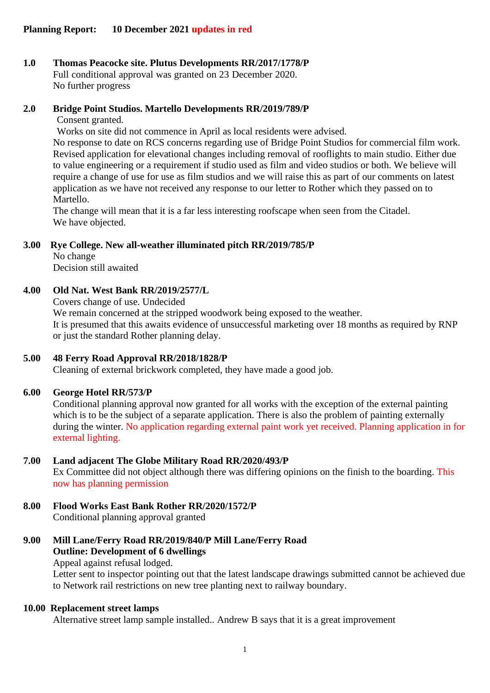### **1.0 Thomas Peacocke site. Plutus Developments RR/2017/1778/P** Full conditional approval was granted on 23 December 2020. No further progress

# **2.0 Bridge Point Studios. Martello Developments RR/2019/789/P**

Consent granted.

Works on site did not commence in April as local residents were advised.

No response to date on RCS concerns regarding use of Bridge Point Studios for commercial film work. Revised application for elevational changes including removal of rooflights to main studio. Either due to value engineering or a requirement if studio used as film and video studios or both. We believe will require a change of use for use as film studios and we will raise this as part of our comments on latest application as we have not received any response to our letter to Rother which they passed on to Martello.

The change will mean that it is a far less interesting roofscape when seen from the Citadel. We have objected.

## **3.00 Rye College. New all-weather illuminated pitch RR/2019/785/P**

No change Decision still awaited

# **4.00 Old Nat. West Bank RR/2019/2577/L**

Covers change of use. Undecided

We remain concerned at the stripped woodwork being exposed to the weather. It is presumed that this awaits evidence of unsuccessful marketing over 18 months as required by RNP or just the standard Rother planning delay.

# **5.00 48 Ferry Road Approval RR/2018/1828/P**

Cleaning of external brickwork completed, they have made a good job.

## **6.00 George Hotel RR/573/P**

Conditional planning approval now granted for all works with the exception of the external painting which is to be the subject of a separate application. There is also the problem of painting externally during the winter. No application regarding external paint work yet received. Planning application in for external lighting.

## **7.00 Land adjacent The Globe Military Road RR/2020/493/P**

Ex Committee did not object although there was differing opinions on the finish to the boarding. This now has planning permission

# **8.00 Flood Works East Bank Rother RR/2020/1572/P**

Conditional planning approval granted

# **9.00 Mill Lane/Ferry Road RR/2019/840/P Mill Lane/Ferry Road Outline: Development of 6 dwellings**

Appeal against refusal lodged.

Letter sent to inspector pointing out that the latest landscape drawings submitted cannot be achieved due to Network rail restrictions on new tree planting next to railway boundary.

# **10.00 Replacement street lamps**

Alternative street lamp sample installed.. Andrew B says that it is a great improvement